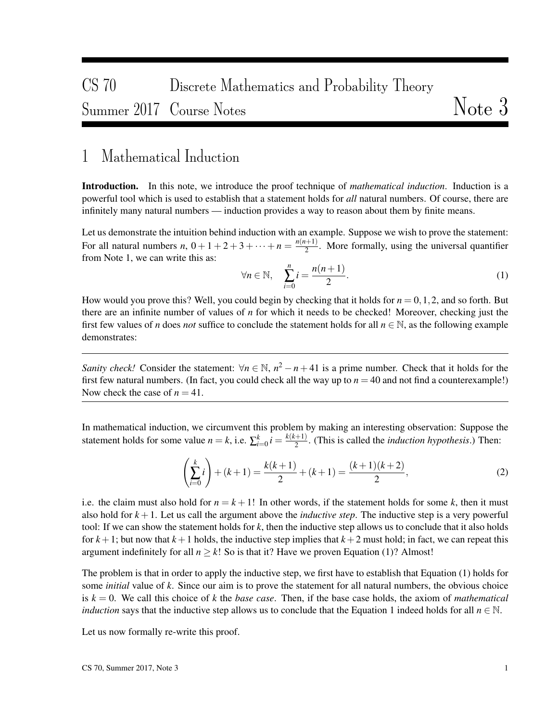# 1 Mathematical Induction

Introduction. In this note, we introduce the proof technique of *mathematical induction*. Induction is a powerful tool which is used to establish that a statement holds for *all* natural numbers. Of course, there are infinitely many natural numbers — induction provides a way to reason about them by finite means.

Let us demonstrate the intuition behind induction with an example. Suppose we wish to prove the statement: For all natural numbers *n*,  $0 + 1 + 2 + 3 + \cdots + n = \frac{n(n+1)}{2}$  $\frac{2+1}{2}$ . More formally, using the universal quantifier from Note 1, we can write this as:

$$
\forall n \in \mathbb{N}, \quad \sum_{i=0}^{n} i = \frac{n(n+1)}{2}.
$$
 (1)

How would you prove this? Well, you could begin by checking that it holds for  $n = 0, 1, 2$ , and so forth. But there are an infinite number of values of *n* for which it needs to be checked! Moreover, checking just the first few values of *n* does *not* suffice to conclude the statement holds for all  $n \in \mathbb{N}$ , as the following example demonstrates:

*Sanity check!* Consider the statement:  $\forall n \in \mathbb{N}$ ,  $n^2 - n + 41$  is a prime number. Check that it holds for the first few natural numbers. (In fact, you could check all the way up to  $n = 40$  and not find a counterexample!) Now check the case of  $n = 41$ .

In mathematical induction, we circumvent this problem by making an interesting observation: Suppose the statement holds for some value *n* = *k*, i.e.  $\sum_{i=0}^{k} i = \frac{k(k+1)}{2}$  $\frac{1}{2}$ . (This is called the *induction hypothesis*.) Then:

$$
\left(\sum_{i=0}^{k} i\right) + (k+1) = \frac{k(k+1)}{2} + (k+1) = \frac{(k+1)(k+2)}{2},\tag{2}
$$

i.e. the claim must also hold for  $n = k + 1!$  In other words, if the statement holds for some k, then it must also hold for *k* +1. Let us call the argument above the *inductive step*. The inductive step is a very powerful tool: If we can show the statement holds for *k*, then the inductive step allows us to conclude that it also holds for  $k+1$ ; but now that  $k+1$  holds, the inductive step implies that  $k+2$  must hold; in fact, we can repeat this argument indefinitely for all  $n \geq k!$  So is that it? Have we proven Equation (1)? Almost!

The problem is that in order to apply the inductive step, we first have to establish that Equation (1) holds for some *initial* value of *k*. Since our aim is to prove the statement for all natural numbers, the obvious choice is  $k = 0$ . We call this choice of k the *base case*. Then, if the base case holds, the axiom of *mathematical induction* says that the inductive step allows us to conclude that the Equation 1 indeed holds for all  $n \in \mathbb{N}$ .

Let us now formally re-write this proof.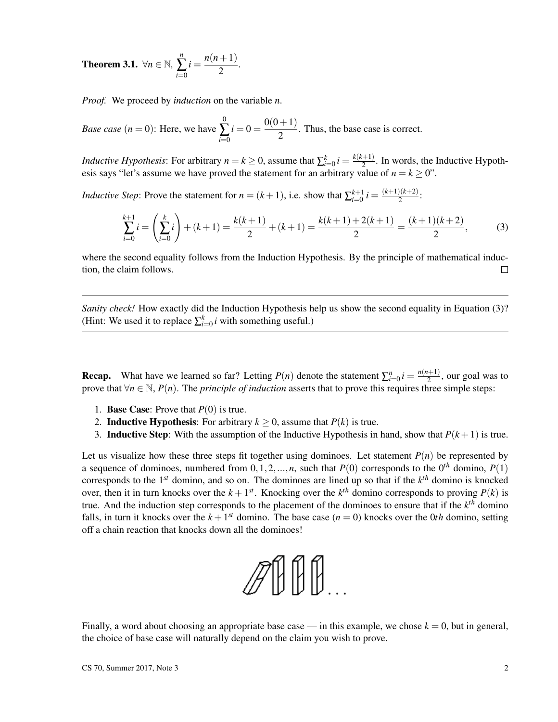Theorem 3.1.  $\forall n \in \mathbb{N}$ ,  $\sum_{n=1}^{\infty}$ ∑ *i*=0  $i = \frac{n(n+1)}{2}$  $\frac{1}{2}$ .

*Proof.* We proceed by *induction* on the variable *n*.

*Base case*  $(n = 0)$ : Here, we have  $\boldsymbol{0}$ ∑ *i*=0  $i = 0 = \frac{0(0+1)}{2}$  $\frac{1}{2}$ . Thus, the base case is correct.

*Inductive Hypothesis*: For arbitrary *n* = *k* ≥ 0, assume that  $\sum_{i=0}^{k} i = \frac{k(k+1)}{2}$  $\frac{+1}{2}$ . In words, the Inductive Hypothesis says "let's assume we have proved the statement for an arbitrary value of  $n = k \ge 0$ ".

*Inductive Step*: Prove the statement for  $n = (k+1)$ , i.e. show that  $\sum_{i=0}^{k+1} i = \frac{(k+1)(k+2)}{2}$  $\frac{2^{k+2}}{2}$ :

$$
\sum_{i=0}^{k+1} i = \left(\sum_{i=0}^{k} i\right) + (k+1) = \frac{k(k+1)}{2} + (k+1) = \frac{k(k+1) + 2(k+1)}{2} = \frac{(k+1)(k+2)}{2},\tag{3}
$$

where the second equality follows from the Induction Hypothesis. By the principle of mathematical induction, the claim follows.  $\Box$ 

*Sanity check!* How exactly did the Induction Hypothesis help us show the second equality in Equation (3)? (Hint: We used it to replace  $\sum_{i=0}^{k} i$  with something useful.)

**Recap.** What have we learned so far? Letting  $P(n)$  denote the statement  $\sum_{i=0}^{n} i = \frac{n(n+1)}{2}$  $\frac{(n+1)}{2}$ , our goal was to prove that ∀*n* ∈ N, *P*(*n*). The *principle of induction* asserts that to prove this requires three simple steps:

- 1. **Base Case:** Prove that  $P(0)$  is true.
- 2. **Inductive Hypothesis**: For arbitrary  $k > 0$ , assume that  $P(k)$  is true.
- 3. **Inductive Step**: With the assumption of the Inductive Hypothesis in hand, show that  $P(k+1)$  is true.

Let us visualize how these three steps fit together using dominoes. Let statement  $P(n)$  be represented by a sequence of dominoes, numbered from  $0, 1, 2, ..., n$ , such that  $P(0)$  corresponds to the  $0<sup>th</sup>$  domino,  $P(1)$ corresponds to the  $1^{st}$  domino, and so on. The dominoes are lined up so that if the  $k^{th}$  domino is knocked over, then it in turn knocks over the  $k+1^{st}$ . Knocking over the  $k^{th}$  domino corresponds to proving  $P(k)$  is true. And the induction step corresponds to the placement of the dominoes to ensure that if the *k th* domino falls, in turn it knocks over the  $k + 1<sup>st</sup>$  domino. The base case  $(n = 0)$  knocks over the 0*th* domino, setting off a chain reaction that knocks down all the dominoes!



Finally, a word about choosing an appropriate base case — in this example, we chose  $k = 0$ , but in general, the choice of base case will naturally depend on the claim you wish to prove.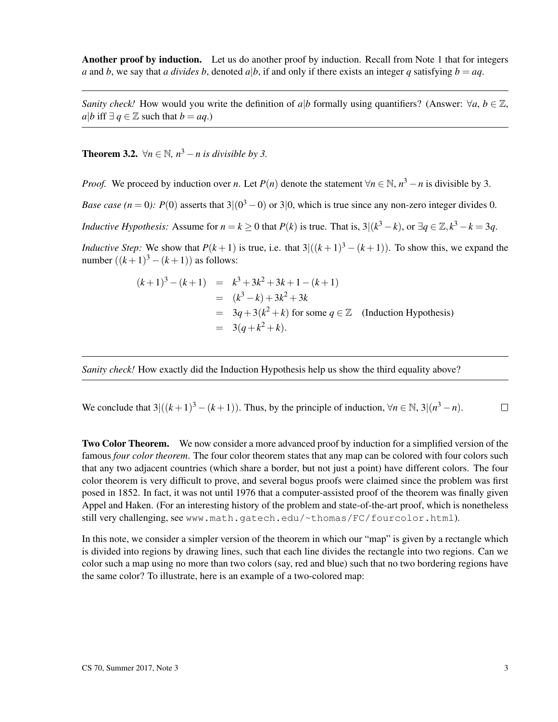Another proof by induction. Let us do another proof by induction. Recall from Note 1 that for integers *a* and *b*, we say that *a divides b*, denoted  $a|b$ , if and only if there exists an integer *q* satisfying  $b = aq$ .

*Sanity check!* How would you write the definition of *a*|*b* formally using quantifiers? (Answer:  $\forall a, b \in \mathbb{Z}$ , *a*|*b* iff ∃ *q* ∈  $\mathbb{Z}$  such that *b* = *aq*.)

**Theorem 3.2.**  $\forall n \in \mathbb{N}$ ,  $n^3 - n$  is divisible by 3.

*Proof.* We proceed by induction over *n*. Let *P*(*n*) denote the statement  $\forall n \in \mathbb{N}$ ,  $n^3 - n$  is divisible by 3. *Base case (n* = 0):  $P(0)$  asserts that  $3|(0^3 - 0)$  or  $3|0$ , which is true since any non-zero integer divides 0. *Inductive Hypothesis:* Assume for  $n = k \ge 0$  that  $P(k)$  is true. That is,  $3|(k^3 - k)$ , or  $\exists q \in \mathbb{Z}, k^3 - k = 3q$ . *Inductive Step:* We show that  $P(k+1)$  is true, i.e. that  $3|((k+1)^3 - (k+1))$ . To show this, we expand the number  $((k+1)^3 - (k+1))$  as follows:

$$
(k+1)^3 - (k+1) = k^3 + 3k^2 + 3k + 1 - (k+1)
$$
  
=  $(k^3 - k) + 3k^2 + 3k$   
=  $3q + 3(k^2 + k)$  for some  $q \in \mathbb{Z}$  (Induction Hypothesis)  
=  $3(q + k^2 + k)$ .

*Sanity check!* How exactly did the Induction Hypothesis help us show the third equality above?

We conclude that  $3|((k+1)^3 - (k+1))$ . Thus, by the principle of induction,  $\forall n \in \mathbb{N}$ ,  $3|(n^3 - n)$ .  $\Box$ 

**Two Color Theorem.** We now consider a more advanced proof by induction for a simplified version of the famous *four color theorem*. The four color theorem states that any map can be colored with four colors such that any two adjacent countries (which share a border, but not just a point) have different colors. The four color theorem is very difficult to prove, and several bogus proofs were claimed since the problem was first posed in 1852. In fact, it was not until 1976 that a computer-assisted proof of the theorem was finally given Appel and Haken. (For an interesting history of the problem and state-of-the-art proof, which is nonetheless still very challenging, see www.math.gatech.edu/~thomas/FC/fourcolor.html).

In this note, we consider a simpler version of the theorem in which our "map" is given by a rectangle which is divided into regions by drawing lines, such that each line divides the rectangle into two regions. Can we color such a map using no more than two colors (say, red and blue) such that no two bordering regions have the same color? To illustrate, here is an example of a two-colored map: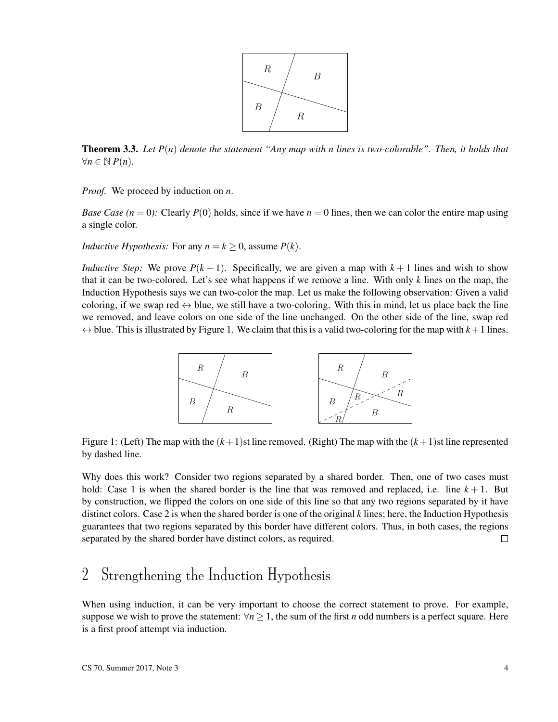

Theorem 3.3. *Let P*(*n*) *denote the statement "Any map with n lines is two-colorable". Then, it holds that*  $∀n ∈ ℕ P(n)$ .

*Proof.* We proceed by induction on *n*.

*Base Case (n* = 0): Clearly  $P(0)$  holds, since if we have  $n = 0$  lines, then we can color the entire map using a single color.

*Inductive Hypothesis:* For any  $n = k > 0$ , assume  $P(k)$ .

*Inductive Step:* We prove  $P(k+1)$ . Specifically, we are given a map with  $k+1$  lines and wish to show that it can be two-colored. Let's see what happens if we remove a line. With only *k* lines on the map, the Induction Hypothesis says we can two-color the map. Let us make the following observation: Given a valid coloring, if we swap red  $\leftrightarrow$  blue, we still have a two-coloring. With this in mind, let us place back the line we removed, and leave colors on one side of the line unchanged. On the other side of the line, swap red  $\leftrightarrow$  blue. This is illustrated by Figure 1. We claim that this is a valid two-coloring for the map with  $k+1$  lines.



Figure 1: (Left) The map with the  $(k+1)$ st line removed. (Right) The map with the  $(k+1)$ st line represented by dashed line.

Why does this work? Consider two regions separated by a shared border. Then, one of two cases must hold: Case 1 is when the shared border is the line that was removed and replaced, i.e. line  $k + 1$ . But by construction, we flipped the colors on one side of this line so that any two regions separated by it have distinct colors. Case 2 is when the shared border is one of the original *k* lines; here, the Induction Hypothesis guarantees that two regions separated by this border have different colors. Thus, in both cases, the regions separated by the shared border have distinct colors, as required. П

# 2 Strengthening the Induction Hypothesis

When using induction, it can be very important to choose the correct statement to prove. For example, suppose we wish to prove the statement:  $\forall n \geq 1$ , the sum of the first *n* odd numbers is a perfect square. Here is a first proof attempt via induction.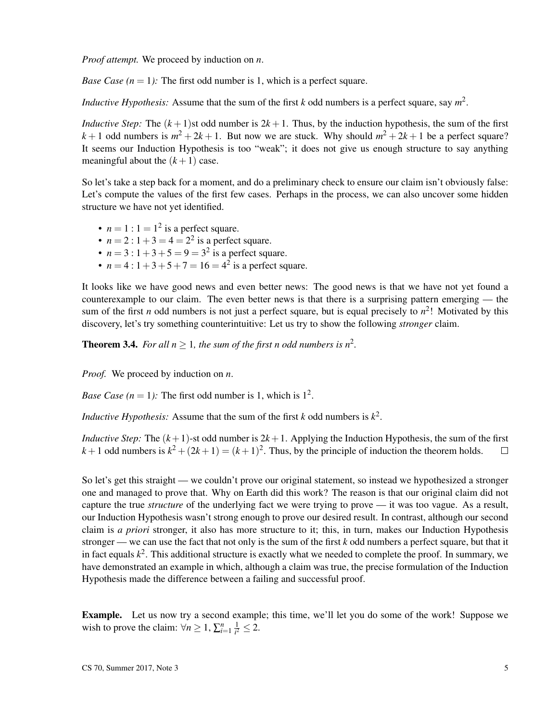*Proof attempt.* We proceed by induction on *n*.

*Base Case*  $(n = 1)$ *:* The first odd number is 1, which is a perfect square.

*Inductive Hypothesis:* Assume that the sum of the first *k* odd numbers is a perfect square, say  $m^2$ .

*Inductive Step:* The  $(k+1)$ st odd number is  $2k+1$ . Thus, by the induction hypothesis, the sum of the first  $k+1$  odd numbers is  $m^2+2k+1$ . But now we are stuck. Why should  $m^2+2k+1$  be a perfect square? It seems our Induction Hypothesis is too "weak"; it does not give us enough structure to say anything meaningful about the  $(k+1)$  case.

So let's take a step back for a moment, and do a preliminary check to ensure our claim isn't obviously false: Let's compute the values of the first few cases. Perhaps in the process, we can also uncover some hidden structure we have not yet identified.

- $n = 1$  :  $1 = 1^2$  is a perfect square.
- $n = 2 : 1 + 3 = 4 = 2^2$  is a perfect square.
- $n = 3 : 1 + 3 + 5 = 9 = 3^2$  is a perfect square.
- $n = 4$ :  $1+3+5+7 = 16 = 4^2$  is a perfect square.

It looks like we have good news and even better news: The good news is that we have not yet found a counterexample to our claim. The even better news is that there is a surprising pattern emerging — the sum of the first *n* odd numbers is not just a perfect square, but is equal precisely to  $n^2$ ! Motivated by this discovery, let's try something counterintuitive: Let us try to show the following *stronger* claim.

**Theorem 3.4.** For all  $n \geq 1$ , the sum of the first n odd numbers is  $n^2$ .

*Proof.* We proceed by induction on *n*.

*Base Case*  $(n = 1)$ : The first odd number is 1, which is  $1^2$ .

*Inductive Hypothesis:* Assume that the sum of the first *k* odd numbers is  $k^2$ .

*Inductive Step:* The  $(k+1)$ -st odd number is  $2k+1$ . Applying the Induction Hypothesis, the sum of the first  $k+1$  odd numbers is  $k^2 + (2k+1) = (k+1)^2$ . Thus, by the principle of induction the theorem holds.  $\Box$ 

So let's get this straight — we couldn't prove our original statement, so instead we hypothesized a stronger one and managed to prove that. Why on Earth did this work? The reason is that our original claim did not capture the true *structure* of the underlying fact we were trying to prove — it was too vague. As a result, our Induction Hypothesis wasn't strong enough to prove our desired result. In contrast, although our second claim is *a priori* stronger, it also has more structure to it; this, in turn, makes our Induction Hypothesis stronger — we can use the fact that not only is the sum of the first *k* odd numbers a perfect square, but that it in fact equals *k* 2 . This additional structure is exactly what we needed to complete the proof. In summary, we have demonstrated an example in which, although a claim was true, the precise formulation of the Induction Hypothesis made the difference between a failing and successful proof.

Example. Let us now try a second example; this time, we'll let you do some of the work! Suppose we wish to prove the claim:  $\forall n \geq 1$ ,  $\sum_{i=1}^{n} \frac{1}{i^2}$  $\frac{1}{i^2} \leq 2.$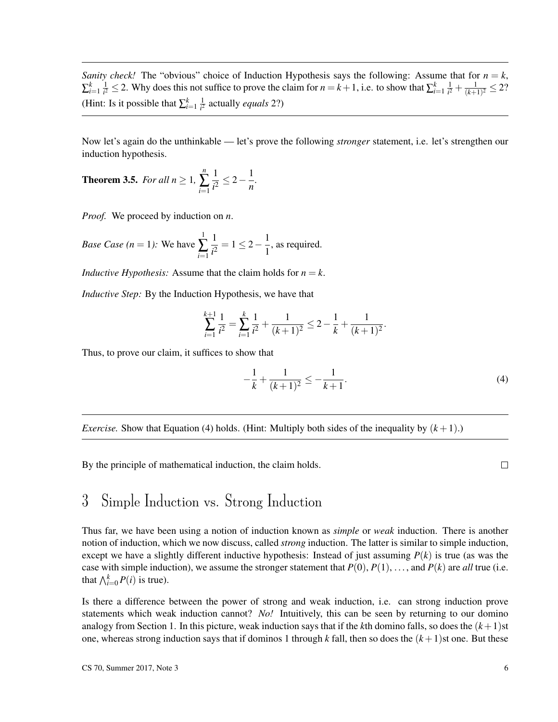*Sanity check!* The "obvious" choice of Induction Hypothesis says the following: Assume that for  $n = k$ ,  $\sum_{i=1}^k \frac{1}{i^2}$  $\frac{1}{l^2} \leq 2$ . Why does this not suffice to prove the claim for  $n = k + 1$ , i.e. to show that  $\sum_{i=1}^{k} \frac{1}{i^2}$  $\frac{1}{i^2} + \frac{1}{(k+1)}$  $\frac{1}{(k+1)^2} \leq 2$ ? (Hint: Is it possible that  $\sum_{i=1}^{k} \frac{1}{i^2}$ *i* <sup>2</sup> actually *equals* 2?)

Now let's again do the unthinkable — let's prove the following *stronger* statement, i.e. let's strengthen our induction hypothesis.

**Theorem 3.5.** *For all*  $n \geq 1$ *, n*  $\sum_{i=1}$ 1  $\frac{1}{i^2} \leq 2 - \frac{1}{n}$ *n .*

*Proof.* We proceed by induction on *n*.

*Base Case (n* = 1*):* We have 1 ∑ *i*=1 1  $\frac{1}{i^2} = 1 \leq 2 - \frac{1}{1}$  $\frac{1}{1}$ , as required.

*Inductive Hypothesis:* Assume that the claim holds for  $n = k$ .

*Inductive Step:* By the Induction Hypothesis, we have that

$$
\sum_{i=1}^{k+1} \frac{1}{i^2} = \sum_{i=1}^k \frac{1}{i^2} + \frac{1}{(k+1)^2} \le 2 - \frac{1}{k} + \frac{1}{(k+1)^2}.
$$

Thus, to prove our claim, it suffices to show that

$$
-\frac{1}{k} + \frac{1}{(k+1)^2} \le -\frac{1}{k+1}.\tag{4}
$$

*Exercise.* Show that Equation (4) holds. (Hint: Multiply both sides of the inequality by  $(k+1)$ .)

By the principle of mathematical induction, the claim holds.

 $\Box$ 

#### 3 Simple Induction vs. Strong Induction

Thus far, we have been using a notion of induction known as *simple* or *weak* induction. There is another notion of induction, which we now discuss, called *strong* induction. The latter is similar to simple induction, except we have a slightly different inductive hypothesis: Instead of just assuming  $P(k)$  is true (as was the case with simple induction), we assume the stronger statement that  $P(0), P(1), \ldots$ , and  $P(k)$  are *all* true (i.e. that  $\bigwedge_{i=0}^{k} P(i)$  is true).

Is there a difference between the power of strong and weak induction, i.e. can strong induction prove statements which weak induction cannot? *No!* Intuitively, this can be seen by returning to our domino analogy from Section 1. In this picture, weak induction says that if the  $k$ th domino falls, so does the  $(k+1)$ st one, whereas strong induction says that if dominos 1 through  $k$  fall, then so does the  $(k+1)$ st one. But these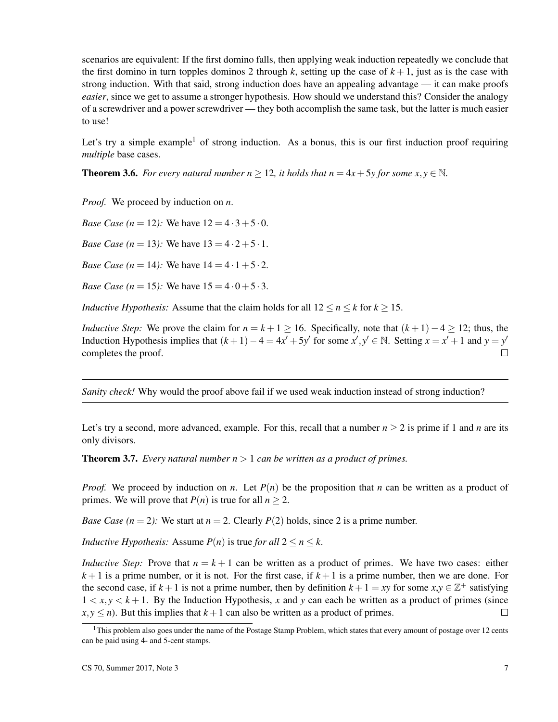scenarios are equivalent: If the first domino falls, then applying weak induction repeatedly we conclude that the first domino in turn topples dominos 2 through  $k$ , setting up the case of  $k + 1$ , just as is the case with strong induction. With that said, strong induction does have an appealing advantage — it can make proofs *easier*, since we get to assume a stronger hypothesis. How should we understand this? Consider the analogy of a screwdriver and a power screwdriver — they both accomplish the same task, but the latter is much easier to use!

Let's try a simple example<sup>1</sup> of strong induction. As a bonus, this is our first induction proof requiring *multiple* base cases.

**Theorem 3.6.** For every natural number  $n > 12$ , it holds that  $n = 4x + 5y$  for some  $x, y \in \mathbb{N}$ .

*Proof.* We proceed by induction on *n*.

*Base Case (n = 12):* We have  $12 = 4 \cdot 3 + 5 \cdot 0$ .

*Base Case (n = 13):* We have  $13 = 4 \cdot 2 + 5 \cdot 1$ .

*Base Case (n = 14):* We have  $14 = 4 \cdot 1 + 5 \cdot 2$ .

*Base Case (n = 15):* We have  $15 = 4 \cdot 0 + 5 \cdot 3$ .

*Inductive Hypothesis:* Assume that the claim holds for all  $12 \le n \le k$  for  $k \ge 15$ .

*Inductive Step:* We prove the claim for  $n = k + 1 > 16$ . Specifically, note that  $(k + 1) - 4 > 12$ ; thus, the Induction Hypothesis implies that  $(k + 1) - 4 = 4x' + 5y'$  for some  $x', y' \in \mathbb{N}$ . Setting  $x = x' + 1$  and  $y = y'$ completes the proof.  $\Box$ 

*Sanity check!* Why would the proof above fail if we used weak induction instead of strong induction?

Let's try a second, more advanced, example. For this, recall that a number  $n \geq 2$  is prime if 1 and *n* are its only divisors.

**Theorem 3.7.** *Every natural number*  $n > 1$  *can be written as a product of primes.* 

*Proof.* We proceed by induction on *n*. Let  $P(n)$  be the proposition that *n* can be written as a product of primes. We will prove that *P*(*n*) is true for all  $n \ge 2$ .

*Base Case (n = 2):* We start at  $n = 2$ . Clearly  $P(2)$  holds, since 2 is a prime number.

*Inductive Hypothesis:* Assume  $P(n)$  is true *for all*  $2 \le n \le k$ .

*Inductive Step:* Prove that  $n = k + 1$  can be written as a product of primes. We have two cases: either  $k+1$  is a prime number, or it is not. For the first case, if  $k+1$  is a prime number, then we are done. For the second case, if  $k + 1$  is not a prime number, then by definition  $k + 1 = xy$  for some  $x, y \in \mathbb{Z}^+$  satisfying  $1 < x, y < k + 1$ . By the Induction Hypothesis, x and y can each be written as a product of primes (since  $x, y \le n$ ). But this implies that  $k+1$  can also be written as a product of primes.  $\Box$ 

 $1$ <sup>1</sup>This problem also goes under the name of the Postage Stamp Problem, which states that every amount of postage over 12 cents can be paid using 4- and 5-cent stamps.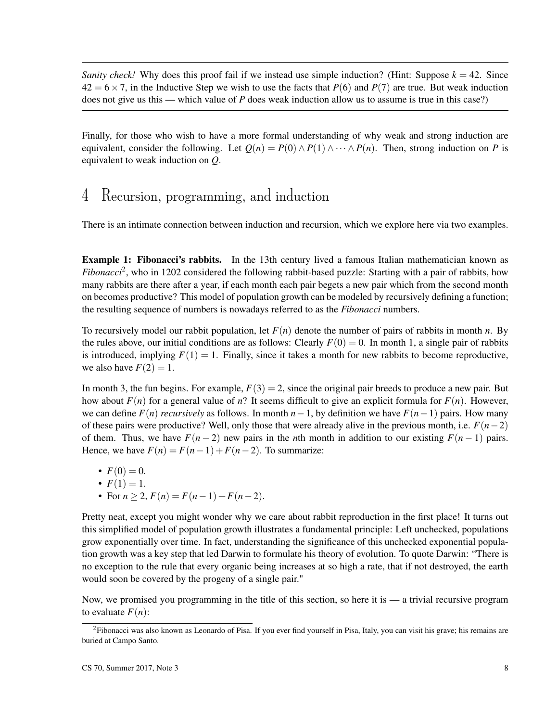*Sanity check!* Why does this proof fail if we instead use simple induction? (Hint: Suppose  $k = 42$ . Since  $42 = 6 \times 7$ , in the Inductive Step we wish to use the facts that  $P(6)$  and  $P(7)$  are true. But weak induction does not give us this — which value of *P* does weak induction allow us to assume is true in this case?)

Finally, for those who wish to have a more formal understanding of why weak and strong induction are equivalent, consider the following. Let  $O(n) = P(0) \wedge P(1) \wedge \cdots \wedge P(n)$ . Then, strong induction on *P* is equivalent to weak induction on *Q*.

#### 4 Recursion, programming, and induction

There is an intimate connection between induction and recursion, which we explore here via two examples.

**Example 1: Fibonacci's rabbits.** In the 13th century lived a famous Italian mathematician known as Fibonacci<sup>2</sup>, who in 1202 considered the following rabbit-based puzzle: Starting with a pair of rabbits, how many rabbits are there after a year, if each month each pair begets a new pair which from the second month on becomes productive? This model of population growth can be modeled by recursively defining a function; the resulting sequence of numbers is nowadays referred to as the *Fibonacci* numbers.

To recursively model our rabbit population, let  $F(n)$  denote the number of pairs of rabbits in month *n*. By the rules above, our initial conditions are as follows: Clearly  $F(0) = 0$ . In month 1, a single pair of rabbits is introduced, implying  $F(1) = 1$ . Finally, since it takes a month for new rabbits to become reproductive, we also have  $F(2) = 1$ .

In month 3, the fun begins. For example,  $F(3) = 2$ , since the original pair breeds to produce a new pair. But how about  $F(n)$  for a general value of *n*? It seems difficult to give an explicit formula for  $F(n)$ . However, we can define  $F(n)$  *recursively* as follows. In month  $n-1$ , by definition we have  $F(n-1)$  pairs. How many of these pairs were productive? Well, only those that were already alive in the previous month, i.e.  $F(n-2)$ of them. Thus, we have  $F(n-2)$  new pairs in the *n*th month in addition to our existing  $F(n-1)$  pairs. Hence, we have  $F(n) = F(n-1) + F(n-2)$ . To summarize:

•  $F(0) = 0$ .

• 
$$
F(1) = 1
$$
.

• For  $n > 2$ ,  $F(n) = F(n-1) + F(n-2)$ .

Pretty neat, except you might wonder why we care about rabbit reproduction in the first place! It turns out this simplified model of population growth illustrates a fundamental principle: Left unchecked, populations grow exponentially over time. In fact, understanding the significance of this unchecked exponential population growth was a key step that led Darwin to formulate his theory of evolution. To quote Darwin: "There is no exception to the rule that every organic being increases at so high a rate, that if not destroyed, the earth would soon be covered by the progeny of a single pair."

Now, we promised you programming in the title of this section, so here it is  $-$  a trivial recursive program to evaluate  $F(n)$ :

 ${}^{2}$ Fibonacci was also known as Leonardo of Pisa. If you ever find yourself in Pisa, Italy, you can visit his grave; his remains are buried at Campo Santo.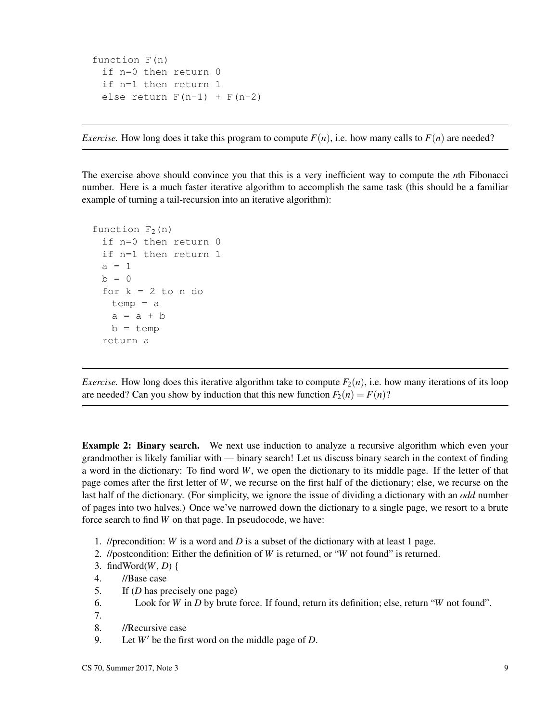```
function F(n)
if n=0 then return 0
if n=1 then return 1
else return F(n-1) + F(n-2)
```
*Exercise.* How long does it take this program to compute  $F(n)$ , i.e. how many calls to  $F(n)$  are needed?

The exercise above should convince you that this is a very inefficient way to compute the *n*th Fibonacci number. Here is a much faster iterative algorithm to accomplish the same task (this should be a familiar example of turning a tail-recursion into an iterative algorithm):

```
function F_2(n)if n=0 then return 0
if n=1 then return 1
a = 1b = 0for k = 2 to n do
  temp = a
  a = a + bb = tempreturn a
```
*Exercise.* How long does this iterative algorithm take to compute  $F_2(n)$ , i.e. how many iterations of its loop are needed? Can you show by induction that this new function  $F_2(n) = F(n)$ ?

**Example 2: Binary search.** We next use induction to analyze a recursive algorithm which even your grandmother is likely familiar with — binary search! Let us discuss binary search in the context of finding a word in the dictionary: To find word *W*, we open the dictionary to its middle page. If the letter of that page comes after the first letter of *W*, we recurse on the first half of the dictionary; else, we recurse on the last half of the dictionary. (For simplicity, we ignore the issue of dividing a dictionary with an *odd* number of pages into two halves.) Once we've narrowed down the dictionary to a single page, we resort to a brute force search to find *W* on that page. In pseudocode, we have:

- 1. //precondition: *W* is a word and *D* is a subset of the dictionary with at least 1 page.
- 2. //postcondition: Either the definition of *W* is returned, or "*W* not found" is returned.
- 3. findWord(*W*, *D*) {
- 4. //Base case
- 5. If (*D* has precisely one page)
- 6. Look for *W* in *D* by brute force. If found, return its definition; else, return "*W* not found".
- 7.
- 8. //Recursive case
- 9. Let  $W'$  be the first word on the middle page of *D*.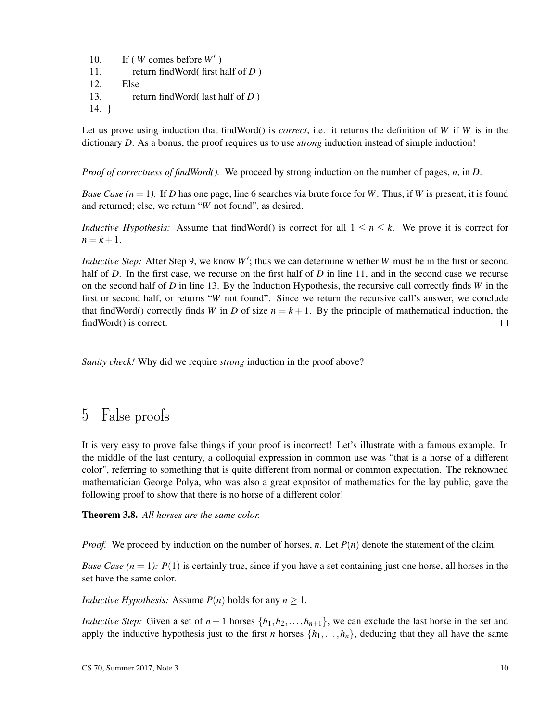- 10. If (*W* comes before  $W'$ ) 11. return findWord( first half of *D* ) 12. Else 13. return findWord( last half of *D* ) 14. }
- Let us prove using induction that findWord() is *correct*, i.e. it returns the definition of *W* if *W* is in the dictionary *D*. As a bonus, the proof requires us to use *strong* induction instead of simple induction!

*Proof of correctness of findWord().* We proceed by strong induction on the number of pages, *n*, in *D*.

*Base Case*  $(n = 1)$ : If *D* has one page, line 6 searches via brute force for *W*. Thus, if *W* is present, it is found and returned; else, we return "*W* not found", as desired.

*Inductive Hypothesis:* Assume that findWord() is correct for all  $1 \le n \le k$ . We prove it is correct for  $n = k + 1$ .

*Inductive Step:* After Step 9, we know W'; thus we can determine whether *W* must be in the first or second half of *D*. In the first case, we recurse on the first half of *D* in line 11, and in the second case we recurse on the second half of *D* in line 13. By the Induction Hypothesis, the recursive call correctly finds *W* in the first or second half, or returns "*W* not found". Since we return the recursive call's answer, we conclude that findWord() correctly finds *W* in *D* of size  $n = k + 1$ . By the principle of mathematical induction, the findWord() is correct.  $\Box$ 

*Sanity check!* Why did we require *strong* induction in the proof above?

## 5 False proofs

It is very easy to prove false things if your proof is incorrect! Let's illustrate with a famous example. In the middle of the last century, a colloquial expression in common use was "that is a horse of a different color", referring to something that is quite different from normal or common expectation. The reknowned mathematician George Polya, who was also a great expositor of mathematics for the lay public, gave the following proof to show that there is no horse of a different color!

Theorem 3.8. *All horses are the same color.*

*Proof.* We proceed by induction on the number of horses, *n*. Let  $P(n)$  denote the statement of the claim.

*Base Case*  $(n = 1)$ :  $P(1)$  is certainly true, since if you have a set containing just one horse, all horses in the set have the same color.

*Inductive Hypothesis:* Assume  $P(n)$  holds for any  $n \geq 1$ .

*Inductive Step:* Given a set of  $n+1$  horses  $\{h_1, h_2, \ldots, h_{n+1}\}$ , we can exclude the last horse in the set and apply the inductive hypothesis just to the first *n* horses  $\{h_1, \ldots, h_n\}$ , deducing that they all have the same